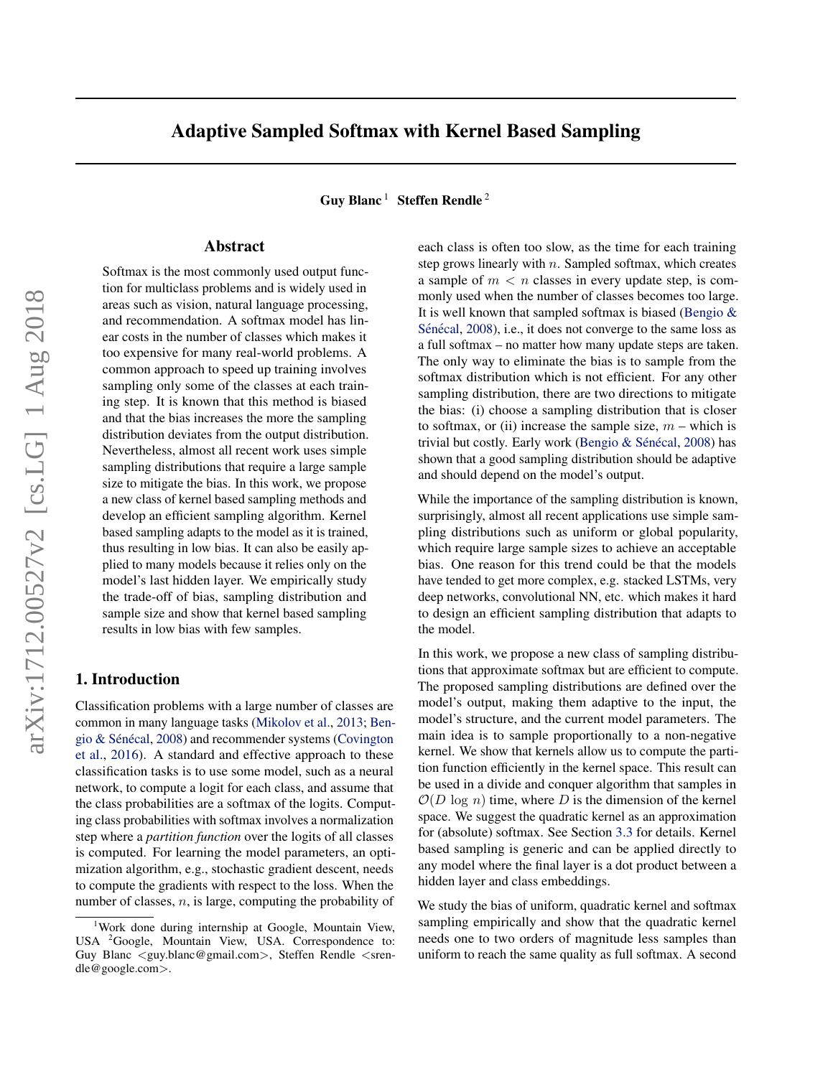# Adaptive Sampled Softmax with Kernel Based Sampling

Guy Blanc<sup>1</sup> Steffen Rendle<sup>2</sup>

# Abstract

Softmax is the most commonly used output function for multiclass problems and is widely used in areas such as vision, natural language processing, and recommendation. A softmax model has linear costs in the number of classes which makes it too expensive for many real-world problems. A common approach to speed up training involves sampling only some of the classes at each training step. It is known that this method is biased and that the bias increases the more the sampling distribution deviates from the output distribution. Nevertheless, almost all recent work uses simple sampling distributions that require a large sample size to mitigate the bias. In this work, we propose a new class of kernel based sampling methods and develop an efficient sampling algorithm. Kernel based sampling adapts to the model as it is trained, thus resulting in low bias. It can also be easily applied to many models because it relies only on the model's last hidden layer. We empirically study the trade-off of bias, sampling distribution and sample size and show that kernel based sampling results in low bias with few samples.

## 1. Introduction

Classification problems with a large number of classes are common in many language tasks [\(Mikolov et al.,](#page-8-0) [2013;](#page-8-0) [Ben-](#page-8-0)gio & Sénécal, [2008\)](#page-8-0) and recommender systems [\(Covington](#page-8-0) [et al.,](#page-8-0) [2016\)](#page-8-0). A standard and effective approach to these classification tasks is to use some model, such as a neural network, to compute a logit for each class, and assume that the class probabilities are a softmax of the logits. Computing class probabilities with softmax involves a normalization step where a *partition function* over the logits of all classes is computed. For learning the model parameters, an optimization algorithm, e.g., stochastic gradient descent, needs to compute the gradients with respect to the loss. When the number of classes,  $n$ , is large, computing the probability of

each class is often too slow, as the time for each training step grows linearly with  $n$ . Sampled softmax, which creates a sample of  $m < n$  classes in every update step, is commonly used when the number of classes becomes too large. It is well known that sampled softmax is biased [\(Bengio &](#page-8-0) Sénécal, [2008\)](#page-8-0), i.e., it does not converge to the same loss as a full softmax – no matter how many update steps are taken. The only way to eliminate the bias is to sample from the softmax distribution which is not efficient. For any other sampling distribution, there are two directions to mitigate the bias: (i) choose a sampling distribution that is closer to softmax, or (ii) increase the sample size,  $m$  – which is trivial but costly. Early work (Bengio  $&$  Sénécal, [2008\)](#page-8-0) has shown that a good sampling distribution should be adaptive and should depend on the model's output.

While the importance of the sampling distribution is known, surprisingly, almost all recent applications use simple sampling distributions such as uniform or global popularity, which require large sample sizes to achieve an acceptable bias. One reason for this trend could be that the models have tended to get more complex, e.g. stacked LSTMs, very deep networks, convolutional NN, etc. which makes it hard to design an efficient sampling distribution that adapts to the model.

In this work, we propose a new class of sampling distributions that approximate softmax but are efficient to compute. The proposed sampling distributions are defined over the model's output, making them adaptive to the input, the model's structure, and the current model parameters. The main idea is to sample proportionally to a non-negative kernel. We show that kernels allow us to compute the partition function efficiently in the kernel space. This result can be used in a divide and conquer algorithm that samples in  $\mathcal{O}(D \log n)$  time, where D is the dimension of the kernel space. We suggest the quadratic kernel as an approximation for (absolute) softmax. See Section [3.3](#page-3-0) for details. Kernel based sampling is generic and can be applied directly to any model where the final layer is a dot product between a hidden layer and class embeddings.

We study the bias of uniform, quadratic kernel and softmax sampling empirically and show that the quadratic kernel needs one to two orders of magnitude less samples than uniform to reach the same quality as full softmax. A second

<sup>1</sup>Work done during internship at Google, Mountain View, USA <sup>2</sup>Google, Mountain View, USA. Correspondence to: Guy Blanc <guy.blanc@gmail.com>, Steffen Rendle <srendle@google.com>.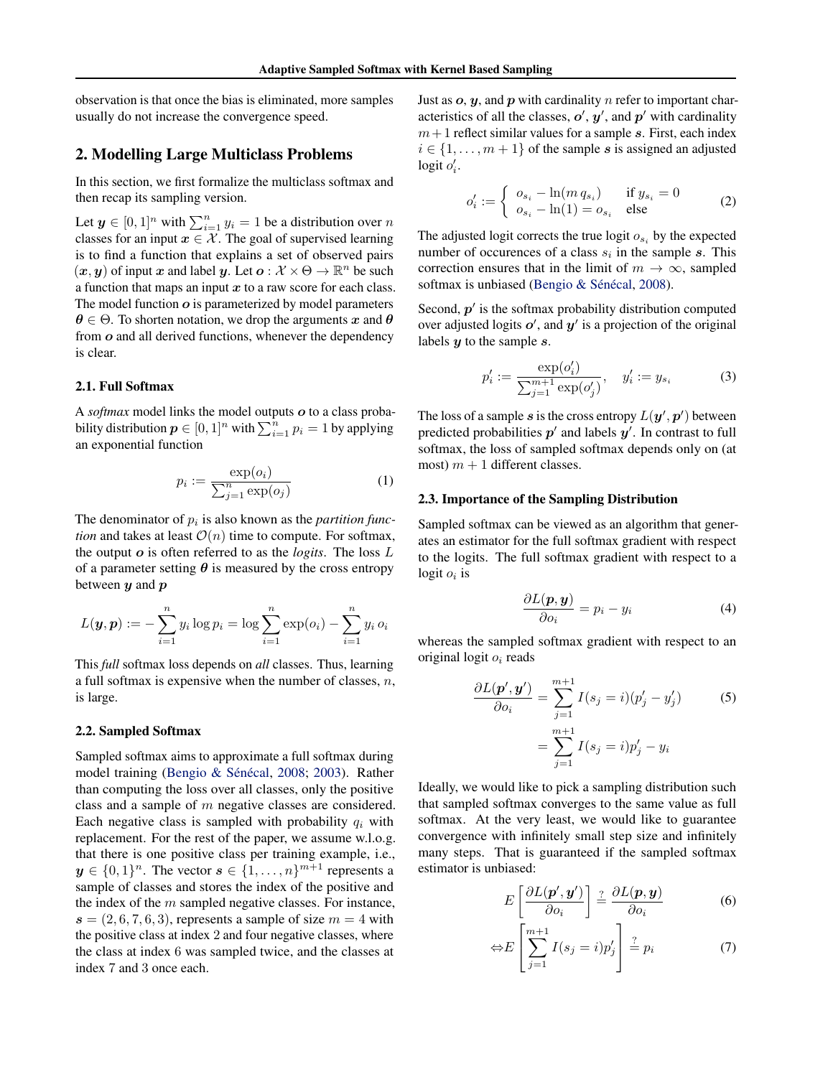<span id="page-1-0"></span>observation is that once the bias is eliminated, more samples usually do not increase the convergence speed.

## 2. Modelling Large Multiclass Problems

In this section, we first formalize the multiclass softmax and then recap its sampling version.

Let  $y \in [0,1]^n$  with  $\sum_{i=1}^n y_i = 1$  be a distribution over n classes for an input  $x \in \mathcal{X}$ . The goal of supervised learning is to find a function that explains a set of observed pairs  $(x, y)$  of input x and label y. Let  $o: \mathcal{X} \times \Theta \to \mathbb{R}^n$  be such a function that maps an input  $x$  to a raw score for each class. The model function  $o$  is parameterized by model parameters  $\theta \in \Theta$ . To shorten notation, we drop the arguments x and  $\theta$ from o and all derived functions, whenever the dependency is clear.

## 2.1. Full Softmax

A *softmax* model links the model outputs o to a class probability distribution  $p \in [0,1]^n$  with  $\sum_{i=1}^n p_i = 1$  by applying an exponential function

$$
p_i := \frac{\exp(o_i)}{\sum_{j=1}^n \exp(o_j)}
$$
 (1)

The denominator of  $p_i$  is also known as the *partition function* and takes at least  $\mathcal{O}(n)$  time to compute. For softmax, the output o is often referred to as the *logits*. The loss L of a parameter setting  $\theta$  is measured by the cross entropy between  $y$  and  $p$ 

$$
L(\mathbf{y}, \mathbf{p}) := -\sum_{i=1}^{n} y_i \log p_i = \log \sum_{i=1}^{n} \exp(o_i) - \sum_{i=1}^{n} y_i o_i
$$

This *full* softmax loss depends on *all* classes. Thus, learning a full softmax is expensive when the number of classes,  $n$ , is large.

## 2.2. Sampled Softmax

Sampled softmax aims to approximate a full softmax during model training (Bengio & Sénécal, [2008;](#page-8-0) [2003\)](#page-8-0). Rather than computing the loss over all classes, only the positive class and a sample of m negative classes are considered. Each negative class is sampled with probability  $q_i$  with replacement. For the rest of the paper, we assume w.l.o.g. that there is one positive class per training example, i.e.,  $y \in \{0,1\}^n$ . The vector  $s \in \{1,\ldots,n\}^{m+1}$  represents a sample of classes and stores the index of the positive and the index of the  $m$  sampled negative classes. For instance,  $s = (2, 6, 7, 6, 3)$ , represents a sample of size  $m = 4$  with the positive class at index 2 and four negative classes, where the class at index 6 was sampled twice, and the classes at index 7 and 3 once each.

Just as  $o, y$ , and  $p$  with cardinality  $n$  refer to important characteristics of all the classes,  $o', y'$ , and  $p'$  with cardinality  $m+1$  reflect similar values for a sample s. First, each index  $i \in \{1, \ldots, m+1\}$  of the sample s is assigned an adjusted logit  $o'_i$ .

$$
o_i' := \begin{cases} o_{s_i} - \ln(m q_{s_i}) & \text{if } y_{s_i} = 0\\ o_{s_i} - \ln(1) = o_{s_i} & \text{else} \end{cases}
$$
 (2)

The adjusted logit corrects the true logit  $o_{s_i}$  by the expected number of occurences of a class  $s_i$  in the sample s. This correction ensures that in the limit of  $m \to \infty$ , sampled softmax is unbiased (Bengio & Sénécal, [2008\)](#page-8-0).

Second,  $p'$  is the softmax probability distribution computed over adjusted logits  $o'$ , and  $y'$  is a projection of the original labels  $y$  to the sample  $s$ .

$$
p_i' := \frac{\exp(o_i')}{\sum_{j=1}^{m+1} \exp(o_j')}, \quad y_i' := y_{s_i}
$$
 (3)

The loss of a sample s is the cross entropy  $L(\mathbf{y}', \mathbf{p}')$  between predicted probabilities  $p'$  and labels  $y'$ . In contrast to full softmax, the loss of sampled softmax depends only on (at most)  $m + 1$  different classes.

## 2.3. Importance of the Sampling Distribution

Sampled softmax can be viewed as an algorithm that generates an estimator for the full softmax gradient with respect to the logits. The full softmax gradient with respect to a  $logit o_i$  is

$$
\frac{\partial L(\boldsymbol{p}, \boldsymbol{y})}{\partial o_i} = p_i - y_i \tag{4}
$$

whereas the sampled softmax gradient with respect to an original logit  $o_i$  reads

$$
\frac{\partial L(\boldsymbol{p}', \boldsymbol{y}')}{\partial o_i} = \sum_{j=1}^{m+1} I(s_j = i)(p'_j - y'_j)
$$
(5)  

$$
= \sum_{j=1}^{m+1} I(s_j = i)p'_j - y_i
$$

Ideally, we would like to pick a sampling distribution such that sampled softmax converges to the same value as full softmax. At the very least, we would like to guarantee convergence with infinitely small step size and infinitely many steps. That is guaranteed if the sampled softmax estimator is unbiased:

$$
E\left[\frac{\partial L(\boldsymbol{p}',\boldsymbol{y}')}{\partial o_i}\right] \stackrel{?}{=} \frac{\partial L(\boldsymbol{p},\boldsymbol{y})}{\partial o_i} \tag{6}
$$

$$
\Leftrightarrow E\left[\sum_{j=1}^{m+1} I(s_j = i)p'_j\right] \stackrel{?}{=} p_i \tag{7}
$$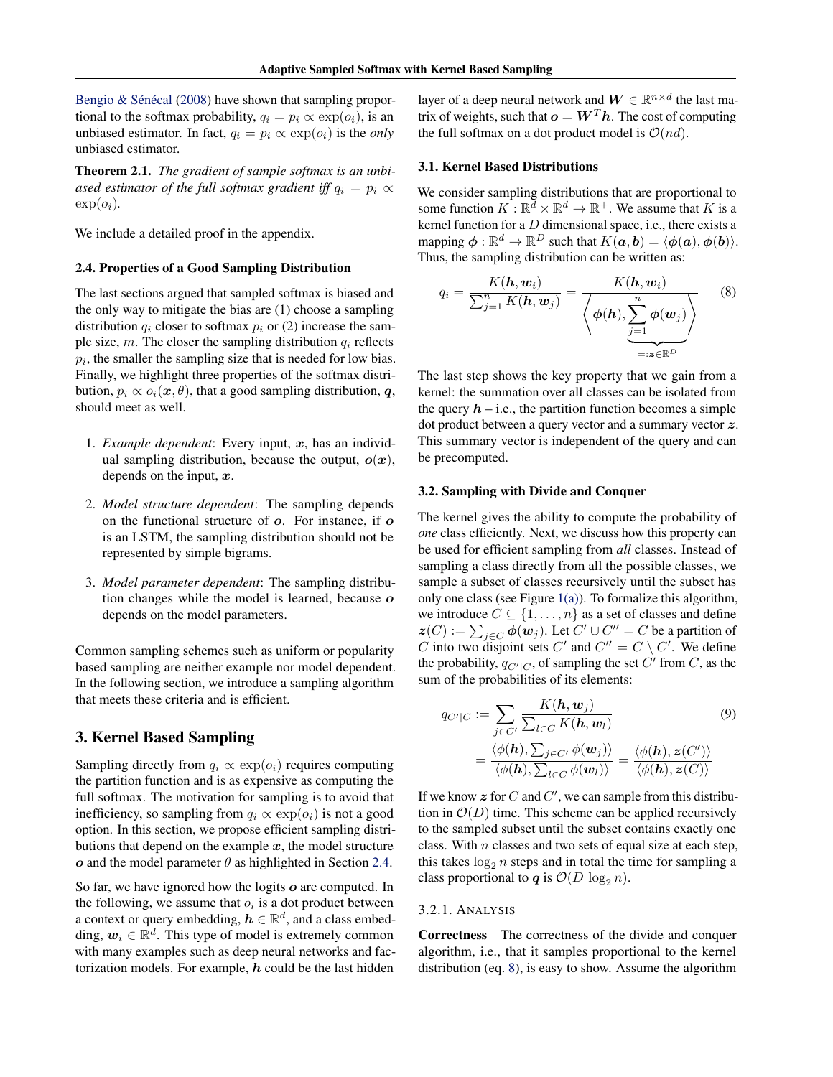Bengio  $&$  Sénécal [\(2008\)](#page-8-0) have shown that sampling proportional to the softmax probability,  $q_i = p_i \propto \exp(o_i)$ , is an unbiased estimator. In fact,  $q_i = p_i \propto \exp(o_i)$  is the *only* unbiased estimator.

Theorem 2.1. *The gradient of sample softmax is an unbiased estimator of the full softmax gradient iff*  $q_i = p_i \propto$  $\exp(o_i)$ .

We include a detailed proof in the appendix.

#### 2.4. Properties of a Good Sampling Distribution

The last sections argued that sampled softmax is biased and the only way to mitigate the bias are (1) choose a sampling distribution  $q_i$  closer to softmax  $p_i$  or (2) increase the sample size, m. The closer the sampling distribution  $q_i$  reflects  $p_i$ , the smaller the sampling size that is needed for low bias. Finally, we highlight three properties of the softmax distribution,  $p_i \propto o_i(\mathbf{x}, \theta)$ , that a good sampling distribution, q, should meet as well.

- 1. *Example dependent*: Every input, x, has an individual sampling distribution, because the output,  $o(x)$ , depends on the input,  $x$ .
- 2. *Model structure dependent*: The sampling depends on the functional structure of o. For instance, if o is an LSTM, the sampling distribution should not be represented by simple bigrams.
- 3. *Model parameter dependent*: The sampling distribution changes while the model is learned, because  $o$ depends on the model parameters.

Common sampling schemes such as uniform or popularity based sampling are neither example nor model dependent. In the following section, we introduce a sampling algorithm that meets these criteria and is efficient.

# 3. Kernel Based Sampling

Sampling directly from  $q_i \propto \exp(o_i)$  requires computing the partition function and is as expensive as computing the full softmax. The motivation for sampling is to avoid that inefficiency, so sampling from  $q_i \propto \exp(o_i)$  is not a good option. In this section, we propose efficient sampling distributions that depend on the example  $x$ , the model structure  $\boldsymbol{\sigma}$  and the model parameter  $\theta$  as highlighted in Section 2.4.

So far, we have ignored how the logits  $o$  are computed. In the following, we assume that  $o_i$  is a dot product between a context or query embedding,  $h \in \mathbb{R}^d$ , and a class embedding,  $w_i \in \mathbb{R}^d$ . This type of model is extremely common with many examples such as deep neural networks and factorization models. For example,  $h$  could be the last hidden

layer of a deep neural network and  $\boldsymbol{W} \in \mathbb{R}^{n \times d}$  the last matrix of weights, such that  $\boldsymbol{o} = \boldsymbol{W}^T \boldsymbol{h}$ . The cost of computing the full softmax on a dot product model is  $\mathcal{O}(nd)$ .

# 3.1. Kernel Based Distributions

We consider sampling distributions that are proportional to some function  $K : \mathbb{R}^d \times \mathbb{R}^d \to \mathbb{R}^+$ . We assume that K is a kernel function for a  $D$  dimensional space, i.e., there exists a mapping  $\phi : \mathbb{R}^d \to \mathbb{R}^D$  such that  $K(\boldsymbol{a}, \boldsymbol{b}) = \langle \phi(\boldsymbol{a}), \phi(\boldsymbol{b}) \rangle$ . Thus, the sampling distribution can be written as:

$$
q_i = \frac{K(\mathbf{h}, \mathbf{w}_i)}{\sum_{j=1}^n K(\mathbf{h}, \mathbf{w}_j)} = \frac{K(\mathbf{h}, \mathbf{w}_i)}{\left\langle \phi(\mathbf{h}), \sum_{\substack{j=1 \ \text{is a}}}}^n \phi(\mathbf{w}_j) \right\rangle}
$$
(8)

The last step shows the key property that we gain from a kernel: the summation over all classes can be isolated from the query  $h - i.e.,$  the partition function becomes a simple dot product between a query vector and a summary vector z. This summary vector is independent of the query and can be precomputed.

#### 3.2. Sampling with Divide and Conquer

The kernel gives the ability to compute the probability of *one* class efficiently. Next, we discuss how this property can be used for efficient sampling from *all* classes. Instead of sampling a class directly from all the possible classes, we sample a subset of classes recursively until the subset has only one class (see Figure  $1(a)$ ). To formalize this algorithm, we introduce  $C \subseteq \{1, \ldots, n\}$  as a set of classes and define  $z(C) := \sum_{j \in C} \phi(w_j)$ . Let  $C' \cup C'' = C$  be a partition of C into two disjoint sets C' and  $C'' = C \setminus C'$ . We define the probability,  $q_{C'|C}$ , of sampling the set C' from C, as the sum of the probabilities of its elements:

$$
q_{C'|C} := \sum_{j \in C'} \frac{K(\mathbf{h}, \mathbf{w}_j)}{\sum_{l \in C} K(\mathbf{h}, \mathbf{w}_l)} \qquad (9)
$$

$$
= \frac{\langle \phi(\mathbf{h}), \sum_{j \in C'} \phi(\mathbf{w}_j) \rangle}{\langle \phi(\mathbf{h}), \sum_{l \in C} \phi(\mathbf{w}_l) \rangle} = \frac{\langle \phi(\mathbf{h}), z(C') \rangle}{\langle \phi(\mathbf{h}), z(C) \rangle}
$$

If we know  $z$  for  $C$  and  $C'$ , we can sample from this distribution in  $\mathcal{O}(D)$  time. This scheme can be applied recursively to the sampled subset until the subset contains exactly one class. With  $n$  classes and two sets of equal size at each step, this takes  $log_2 n$  steps and in total the time for sampling a class proportional to q is  $\mathcal{O}(D \log_2 n)$ .

## 3.2.1. ANALYSIS

Correctness The correctness of the divide and conquer algorithm, i.e., that it samples proportional to the kernel distribution (eq. 8), is easy to show. Assume the algorithm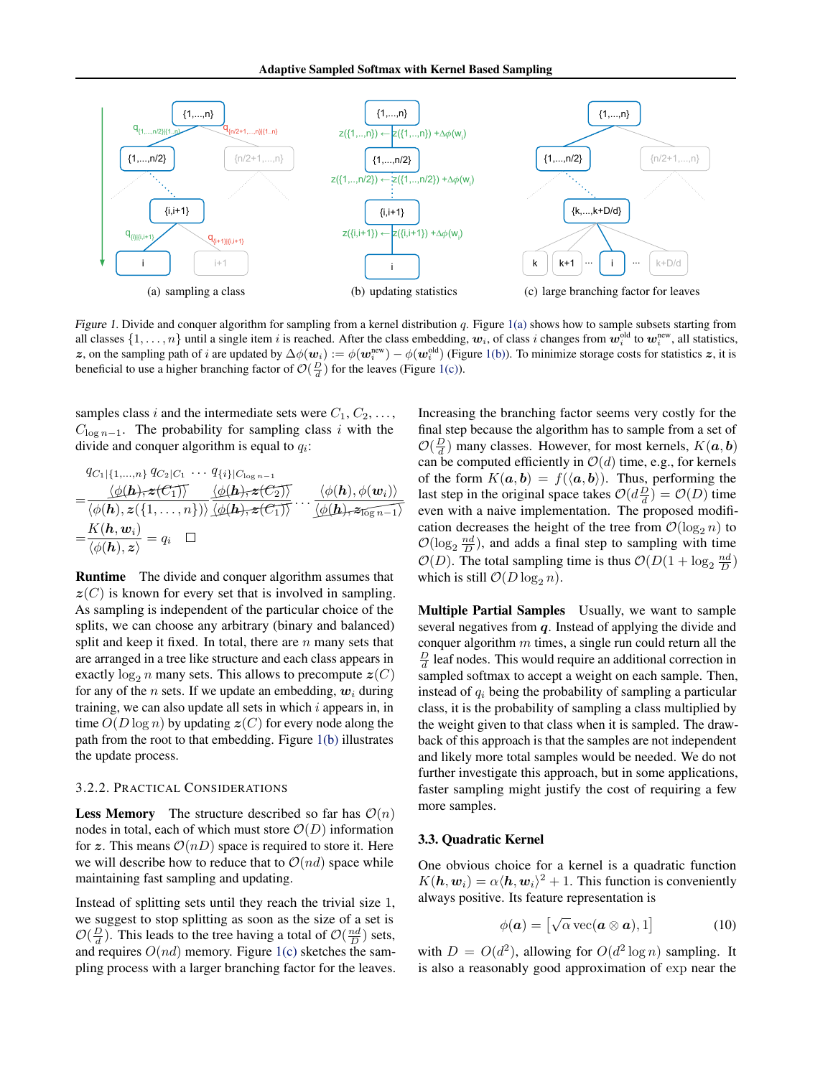<span id="page-3-0"></span>

Figure 1. Divide and conquer algorithm for sampling from a kernel distribution  $q$ . Figure 1(a) shows how to sample subsets starting from all classes  $\{1,\ldots,n\}$  until a single item i is reached. After the class embedding,  $w_i$ , of class i changes from  $w_i^{\text{old}}$  to  $w_i^{\text{new}}$ , all statistics, z, on the sampling path of i are updated by  $\Delta\phi(w_i) := \phi(w_i^{\text{new}}) - \phi(w_i^{\text{old}})$  (Figure 1(b)). To minimize storage costs for statistics z, it is beneficial to use a higher branching factor of  $\mathcal{O}(\frac{D}{d})$  for the leaves (Figure 1(c)).

samples class i and the intermediate sets were  $C_1, C_2, \ldots$ ,  $C_{\log n-1}$ . The probability for sampling class i with the divide and conquer algorithm is equal to  $q_i$ :

$$
q_{C_1|\{1,\ldots,n\}} q_{C_2|C_1} \cdots q_{\{i\}|C_{\log n-1}}
$$
\n
$$
= \frac{\langle \phi(\mathbf{h}), \mathbf{z}(C_1) \rangle}{\langle \phi(\mathbf{h}), \mathbf{z}(\{1,\ldots,n\}) \rangle} \frac{\langle \phi(\mathbf{h}), \mathbf{z}(C_2) \rangle}{\langle \phi(\mathbf{h}), \mathbf{z}(C_1) \rangle} \cdots \frac{\langle \phi(\mathbf{h}), \phi(\mathbf{w}_i) \rangle}{\langle \phi(\mathbf{h}), \mathbf{z}_{\log n-1} \rangle}
$$
\n
$$
= \frac{K(\mathbf{h}, \mathbf{w}_i)}{\langle \phi(\mathbf{h}), \mathbf{z} \rangle} = q_i \quad \Box
$$

Runtime The divide and conquer algorithm assumes that  $z(C)$  is known for every set that is involved in sampling. As sampling is independent of the particular choice of the splits, we can choose any arbitrary (binary and balanced) split and keep it fixed. In total, there are  $n$  many sets that are arranged in a tree like structure and each class appears in exactly  $log_2 n$  many sets. This allows to precompute  $z(C)$ for any of the *n* sets. If we update an embedding,  $w_i$  during training, we can also update all sets in which  $i$  appears in, in time  $O(D \log n)$  by updating  $z(C)$  for every node along the path from the root to that embedding. Figure 1(b) illustrates the update process.

#### 3.2.2. PRACTICAL CONSIDERATIONS

**Less Memory** The structure described so far has  $\mathcal{O}(n)$ nodes in total, each of which must store  $\mathcal{O}(D)$  information for z. This means  $\mathcal{O}(n)$  space is required to store it. Here we will describe how to reduce that to  $\mathcal{O}(nd)$  space while maintaining fast sampling and updating.

Instead of splitting sets until they reach the trivial size 1, we suggest to stop splitting as soon as the size of a set is  $\mathcal{O}(\frac{D}{d})$ . This leads to the tree having a total of  $\mathcal{O}(\frac{nd}{D})$  sets, and requires  $O(nd)$  memory. Figure 1(c) sketches the sampling process with a larger branching factor for the leaves. Increasing the branching factor seems very costly for the final step because the algorithm has to sample from a set of  $\mathcal{O}(\frac{D}{d})$  many classes. However, for most kernels,  $K(\boldsymbol{a}, \boldsymbol{b})$ can be computed efficiently in  $\mathcal{O}(d)$  time, e.g., for kernels of the form  $K(a, b) = f(\langle a, b \rangle)$ . Thus, performing the last step in the original space takes  $\mathcal{O}(d\frac{D}{d}) = \mathcal{O}(D)$  time even with a naive implementation. The proposed modification decreases the height of the tree from  $\mathcal{O}(\log_2 n)$  to  $\mathcal{O}(\log_2 \frac{nd}{D})$ , and adds a final step to sampling with time  $\mathcal{O}(D)$ . The total sampling time is thus  $\mathcal{O}(D(1 + \log_2 \frac{nd}{D}))$ which is still  $\mathcal{O}(D \log_2 n)$ .

Multiple Partial Samples Usually, we want to sample several negatives from  $q$ . Instead of applying the divide and conquer algorithm  $m$  times, a single run could return all the  $\frac{D}{d}$  leaf nodes. This would require an additional correction in sampled softmax to accept a weight on each sample. Then, instead of  $q_i$  being the probability of sampling a particular class, it is the probability of sampling a class multiplied by the weight given to that class when it is sampled. The drawback of this approach is that the samples are not independent and likely more total samples would be needed. We do not further investigate this approach, but in some applications, faster sampling might justify the cost of requiring a few more samples.

#### 3.3. Quadratic Kernel

One obvious choice for a kernel is a quadratic function  $K(h, w_i) = \alpha \langle h, w_i \rangle^2 + 1$ . This function is conveniently always positive. Its feature representation is

$$
\phi(\mathbf{a}) = \left[\sqrt{\alpha}\,\mathrm{vec}(\mathbf{a} \otimes \mathbf{a}), 1\right] \tag{10}
$$

with  $D = O(d^2)$ , allowing for  $O(d^2 \log n)$  sampling. It is also a reasonably good approximation of exp near the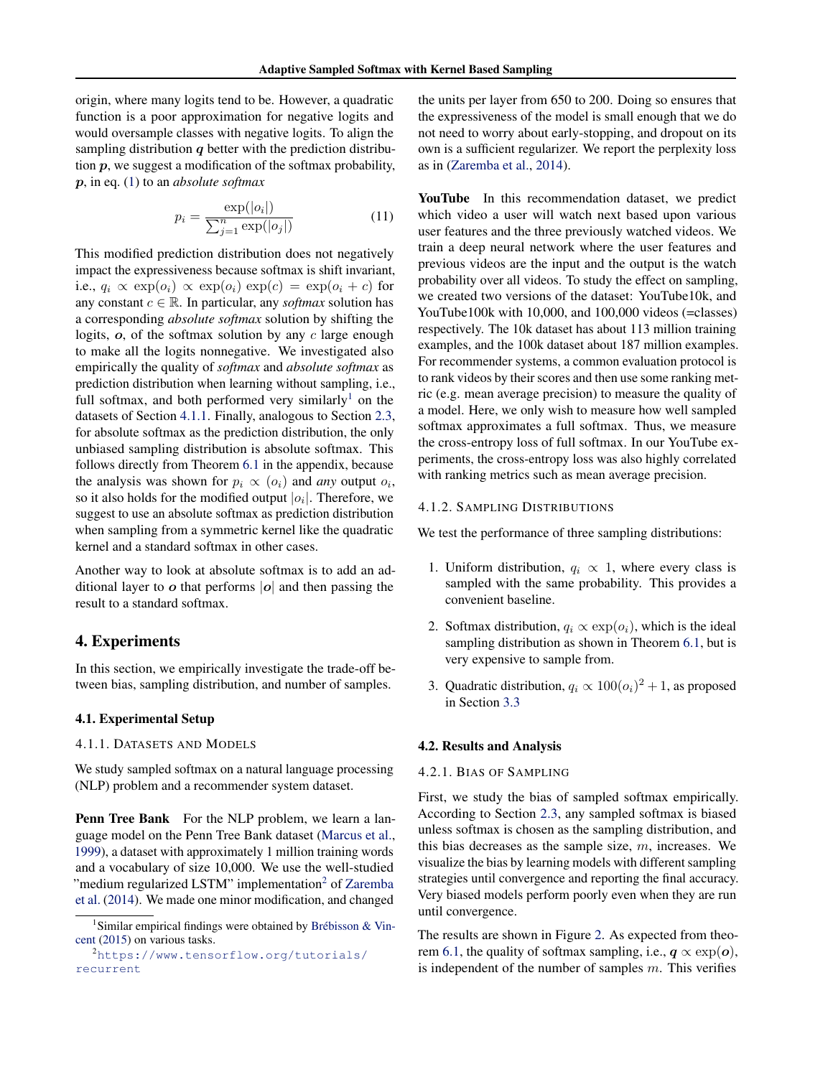origin, where many logits tend to be. However, a quadratic function is a poor approximation for negative logits and would oversample classes with negative logits. To align the sampling distribution  $q$  better with the prediction distribution  $p$ , we suggest a modification of the softmax probability, p, in eq. [\(1\)](#page-1-0) to an *absolute softmax*

$$
p_i = \frac{\exp(|o_i|)}{\sum_{j=1}^n \exp(|o_j|)}\tag{11}
$$

This modified prediction distribution does not negatively impact the expressiveness because softmax is shift invariant, i.e.,  $q_i \propto \exp(o_i) \propto \exp(o_i) \exp(c) = \exp(o_i + c)$  for any constant  $c \in \mathbb{R}$ . In particular, any *softmax* solution has a corresponding *absolute softmax* solution by shifting the logits,  $o$ , of the softmax solution by any  $c$  large enough to make all the logits nonnegative. We investigated also empirically the quality of *softmax* and *absolute softmax* as prediction distribution when learning without sampling, i.e., full softmax, and both performed very similarly<sup>1</sup> on the datasets of Section 4.1.1. Finally, analogous to Section [2.3,](#page-1-0) for absolute softmax as the prediction distribution, the only unbiased sampling distribution is absolute softmax. This follows directly from Theorem [6.1](#page-9-0) in the appendix, because the analysis was shown for  $p_i \propto (o_i)$  and *any* output  $o_i$ , so it also holds for the modified output  $|o_i|$ . Therefore, we suggest to use an absolute softmax as prediction distribution when sampling from a symmetric kernel like the quadratic kernel and a standard softmax in other cases.

Another way to look at absolute softmax is to add an additional layer to  $\boldsymbol{o}$  that performs  $|\boldsymbol{o}|$  and then passing the result to a standard softmax.

# 4. Experiments

In this section, we empirically investigate the trade-off between bias, sampling distribution, and number of samples.

## 4.1. Experimental Setup

## 4.1.1. DATASETS AND MODELS

We study sampled softmax on a natural language processing (NLP) problem and a recommender system dataset.

Penn Tree Bank For the NLP problem, we learn a language model on the Penn Tree Bank dataset [\(Marcus et al.,](#page-8-0) [1999\)](#page-8-0), a dataset with approximately 1 million training words and a vocabulary of size 10,000. We use the well-studied "medium regularized LSTM" implementation<sup>2</sup> of [Zaremba](#page-9-0) [et al.](#page-9-0) [\(2014\)](#page-9-0). We made one minor modification, and changed

the units per layer from 650 to 200. Doing so ensures that the expressiveness of the model is small enough that we do not need to worry about early-stopping, and dropout on its own is a sufficient regularizer. We report the perplexity loss as in [\(Zaremba et al.,](#page-9-0) [2014\)](#page-9-0).

YouTube In this recommendation dataset, we predict which video a user will watch next based upon various user features and the three previously watched videos. We train a deep neural network where the user features and previous videos are the input and the output is the watch probability over all videos. To study the effect on sampling, we created two versions of the dataset: YouTube10k, and YouTube100k with 10,000, and 100,000 videos (=classes) respectively. The 10k dataset has about 113 million training examples, and the 100k dataset about 187 million examples. For recommender systems, a common evaluation protocol is to rank videos by their scores and then use some ranking metric (e.g. mean average precision) to measure the quality of a model. Here, we only wish to measure how well sampled softmax approximates a full softmax. Thus, we measure the cross-entropy loss of full softmax. In our YouTube experiments, the cross-entropy loss was also highly correlated with ranking metrics such as mean average precision.

#### 4.1.2. SAMPLING DISTRIBUTIONS

We test the performance of three sampling distributions:

- 1. Uniform distribution,  $q_i \propto 1$ , where every class is sampled with the same probability. This provides a convenient baseline.
- 2. Softmax distribution,  $q_i \propto \exp(o_i)$ , which is the ideal sampling distribution as shown in Theorem [6.1,](#page-9-0) but is very expensive to sample from.
- 3. Quadratic distribution,  $q_i \propto 100(o_i)^2 + 1$ , as proposed in Section [3.3](#page-3-0)

#### 4.2. Results and Analysis

#### 4.2.1. BIAS OF SAMPLING

First, we study the bias of sampled softmax empirically. According to Section [2.3,](#page-1-0) any sampled softmax is biased unless softmax is chosen as the sampling distribution, and this bias decreases as the sample size,  $m$ , increases. We visualize the bias by learning models with different sampling strategies until convergence and reporting the final accuracy. Very biased models perform poorly even when they are run until convergence.

The results are shown in Figure [2.](#page-5-0) As expected from theo-rem [6.1,](#page-9-0) the quality of softmax sampling, i.e.,  $q \propto \exp(o)$ , is independent of the number of samples  $m$ . This verifies

<sup>&</sup>lt;sup>1</sup>Similar empirical findings were obtained by Brébisson & Vin[cent](#page-8-0) [\(2015\)](#page-8-0) on various tasks.

<sup>2</sup>[https://www.tensorflow.org/tutorials/](https://www.tensorflow.org/tutorials/recurrent) [recurrent](https://www.tensorflow.org/tutorials/recurrent)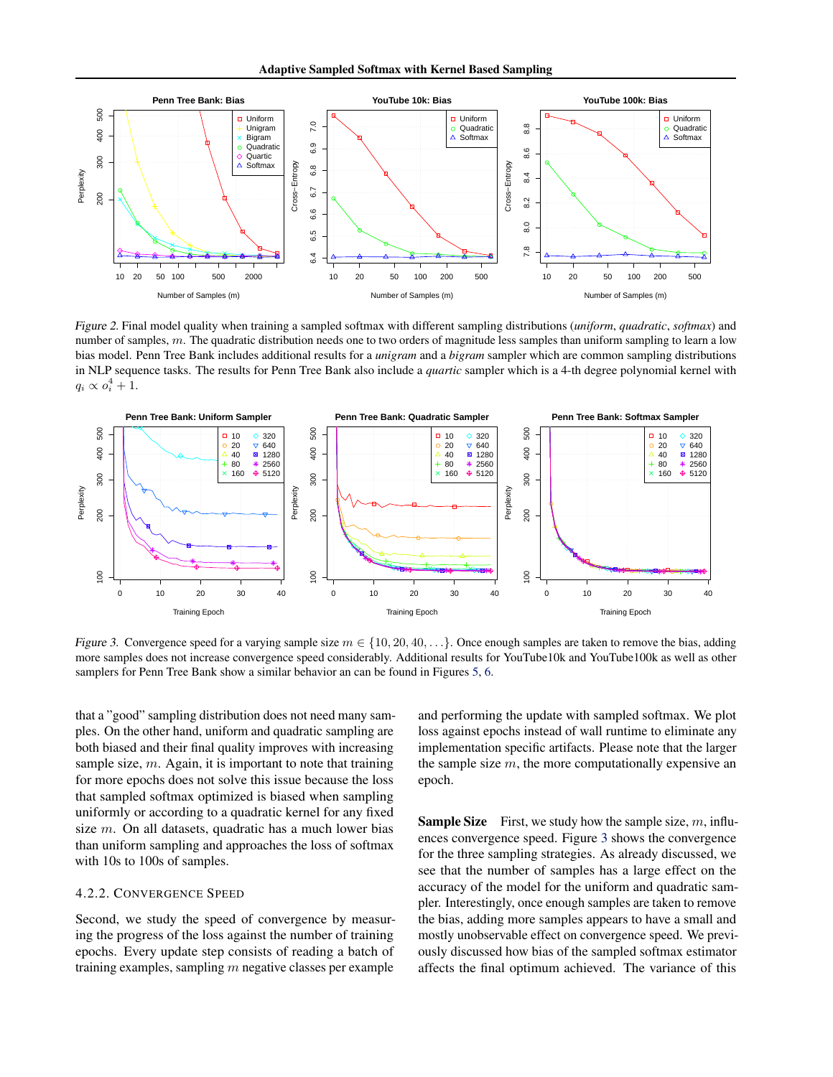<span id="page-5-0"></span>

Figure 2. Final model quality when training a sampled softmax with different sampling distributions (*uniform*, *quadratic*, *softmax*) and number of samples,  $m$ . The quadratic distribution needs one to two orders of magnitude less samples than uniform sampling to learn a low bias model. Penn Tree Bank includes additional results for a *unigram* and a *bigram* sampler which are common sampling distributions in NLP sequence tasks. The results for Penn Tree Bank also include a *quartic* sampler which is a 4-th degree polynomial kernel with  $q_i \propto o_i^4 + 1.$ 



Figure 3. Convergence speed for a varying sample size  $m \in \{10, 20, 40, ...\}$ . Once enough samples are taken to remove the bias, adding more samples does not increase convergence speed considerably. Additional results for YouTube10k and YouTube100k as well as other samplers for Penn Tree Bank show a similar behavior an can be found in Figures [5,](#page-10-0) [6.](#page-11-0)

that a "good" sampling distribution does not need many samples. On the other hand, uniform and quadratic sampling are both biased and their final quality improves with increasing sample size,  $m$ . Again, it is important to note that training for more epochs does not solve this issue because the loss that sampled softmax optimized is biased when sampling uniformly or according to a quadratic kernel for any fixed size m. On all datasets, quadratic has a much lower bias than uniform sampling and approaches the loss of softmax with 10s to 100s of samples.

#### 4.2.2. CONVERGENCE SPEED

Second, we study the speed of convergence by measuring the progress of the loss against the number of training epochs. Every update step consists of reading a batch of training examples, sampling  $m$  negative classes per example

and performing the update with sampled softmax. We plot loss against epochs instead of wall runtime to eliminate any implementation specific artifacts. Please note that the larger the sample size  $m$ , the more computationally expensive an epoch.

**Sample Size** First, we study how the sample size,  $m$ , influences convergence speed. Figure 3 shows the convergence for the three sampling strategies. As already discussed, we see that the number of samples has a large effect on the accuracy of the model for the uniform and quadratic sampler. Interestingly, once enough samples are taken to remove the bias, adding more samples appears to have a small and mostly unobservable effect on convergence speed. We previously discussed how bias of the sampled softmax estimator affects the final optimum achieved. The variance of this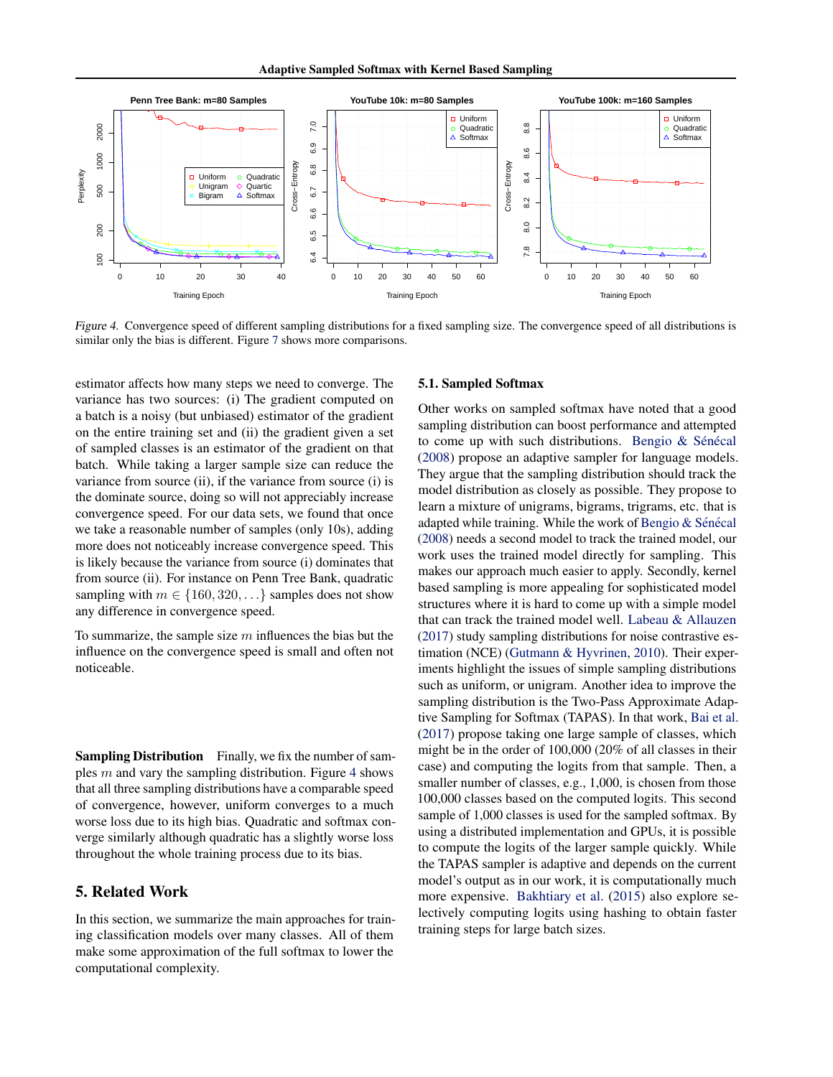

Figure 4. Convergence speed of different sampling distributions for a fixed sampling size. The convergence speed of all distributions is similar only the bias is different. Figure [7](#page-12-0) shows more comparisons.

estimator affects how many steps we need to converge. The variance has two sources: (i) The gradient computed on a batch is a noisy (but unbiased) estimator of the gradient on the entire training set and (ii) the gradient given a set of sampled classes is an estimator of the gradient on that batch. While taking a larger sample size can reduce the variance from source (ii), if the variance from source (i) is the dominate source, doing so will not appreciably increase convergence speed. For our data sets, we found that once we take a reasonable number of samples (only 10s), adding more does not noticeably increase convergence speed. This is likely because the variance from source (i) dominates that from source (ii). For instance on Penn Tree Bank, quadratic sampling with  $m \in \{160, 320, \ldots\}$  samples does not show any difference in convergence speed.

To summarize, the sample size  $m$  influences the bias but the influence on the convergence speed is small and often not noticeable.

Sampling Distribution Finally, we fix the number of samples  $m$  and vary the sampling distribution. Figure 4 shows that all three sampling distributions have a comparable speed of convergence, however, uniform converges to a much worse loss due to its high bias. Quadratic and softmax converge similarly although quadratic has a slightly worse loss throughout the whole training process due to its bias.

# 5. Related Work

In this section, we summarize the main approaches for training classification models over many classes. All of them make some approximation of the full softmax to lower the computational complexity.

#### 5.1. Sampled Softmax

Other works on sampled softmax have noted that a good sampling distribution can boost performance and attempted to come up with such distributions. Bengio  $&$  Sénécal [\(2008\)](#page-8-0) propose an adaptive sampler for language models. They argue that the sampling distribution should track the model distribution as closely as possible. They propose to learn a mixture of unigrams, bigrams, trigrams, etc. that is adapted while training. While the work of Bengio  $&$  Sénécal [\(2008\)](#page-8-0) needs a second model to track the trained model, our work uses the trained model directly for sampling. This makes our approach much easier to apply. Secondly, kernel based sampling is more appealing for sophisticated model structures where it is hard to come up with a simple model that can track the trained model well. [Labeau & Allauzen](#page-8-0) [\(2017\)](#page-8-0) study sampling distributions for noise contrastive estimation (NCE) [\(Gutmann & Hyvrinen,](#page-8-0) [2010\)](#page-8-0). Their experiments highlight the issues of simple sampling distributions such as uniform, or unigram. Another idea to improve the sampling distribution is the Two-Pass Approximate Adaptive Sampling for Softmax (TAPAS). In that work, [Bai et al.](#page-8-0) [\(2017\)](#page-8-0) propose taking one large sample of classes, which might be in the order of 100,000 (20% of all classes in their case) and computing the logits from that sample. Then, a smaller number of classes, e.g., 1,000, is chosen from those 100,000 classes based on the computed logits. This second sample of 1,000 classes is used for the sampled softmax. By using a distributed implementation and GPUs, it is possible to compute the logits of the larger sample quickly. While the TAPAS sampler is adaptive and depends on the current model's output as in our work, it is computationally much more expensive. [Bakhtiary et al.](#page-8-0) [\(2015\)](#page-8-0) also explore selectively computing logits using hashing to obtain faster training steps for large batch sizes.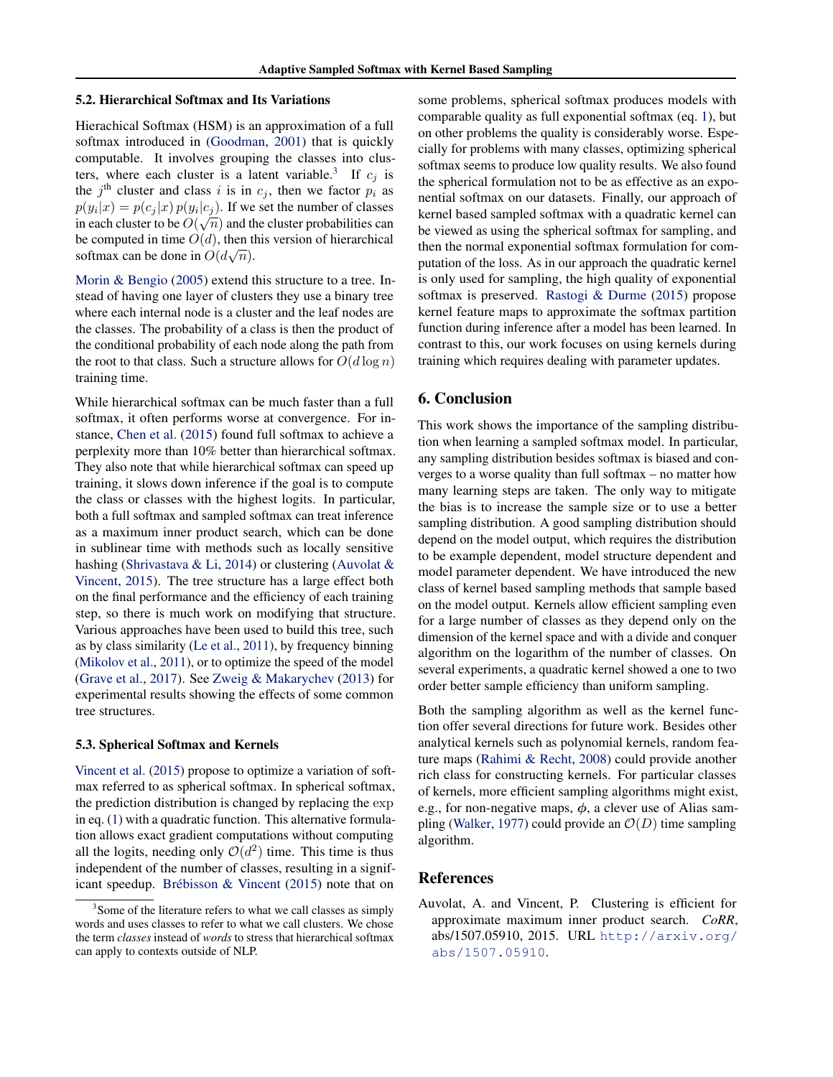#### 5.2. Hierarchical Softmax and Its Variations

Hierachical Softmax (HSM) is an approximation of a full softmax introduced in [\(Goodman,](#page-8-0) [2001\)](#page-8-0) that is quickly computable. It involves grouping the classes into clusters, where each cluster is a latent variable.<sup>3</sup> If  $c_j$  is the  $j^{\text{th}}$  cluster and class i is in  $c_j$ , then we factor  $p_i$  as  $p(y_i|x) = p(c_j|x) p(y_i|c_j)$ . If we set the number of classes in each cluster to be  $O(\sqrt{n})$  and the cluster probabilities can be computed in time  $O(d)$ , then this version of hierarchical softmax can be done in  $O(d\sqrt{n})$ .

[Morin & Bengio](#page-8-0) [\(2005\)](#page-8-0) extend this structure to a tree. Instead of having one layer of clusters they use a binary tree where each internal node is a cluster and the leaf nodes are the classes. The probability of a class is then the product of the conditional probability of each node along the path from the root to that class. Such a structure allows for  $O(d \log n)$ training time.

While hierarchical softmax can be much faster than a full softmax, it often performs worse at convergence. For instance, [Chen et al.](#page-8-0) [\(2015\)](#page-8-0) found full softmax to achieve a perplexity more than 10% better than hierarchical softmax. They also note that while hierarchical softmax can speed up training, it slows down inference if the goal is to compute the class or classes with the highest logits. In particular, both a full softmax and sampled softmax can treat inference as a maximum inner product search, which can be done in sublinear time with methods such as locally sensitive hashing [\(Shrivastava & Li,](#page-8-0) [2014\)](#page-8-0) or clustering (Auvolat & Vincent, 2015). The tree structure has a large effect both on the final performance and the efficiency of each training step, so there is much work on modifying that structure. Various approaches have been used to build this tree, such as by class similarity [\(Le et al.,](#page-8-0) [2011\)](#page-8-0), by frequency binning [\(Mikolov et al.,](#page-8-0) [2011\)](#page-8-0), or to optimize the speed of the model [\(Grave et al.,](#page-8-0) [2017\)](#page-8-0). See [Zweig & Makarychev](#page-9-0) [\(2013\)](#page-9-0) for experimental results showing the effects of some common tree structures.

#### 5.3. Spherical Softmax and Kernels

[Vincent et al.](#page-8-0) [\(2015\)](#page-8-0) propose to optimize a variation of softmax referred to as spherical softmax. In spherical softmax, the prediction distribution is changed by replacing the exp in eq. [\(1\)](#page-1-0) with a quadratic function. This alternative formulation allows exact gradient computations without computing all the logits, needing only  $O(d^2)$  time. This time is thus independent of the number of classes, resulting in a significant speedup. Brébisson & Vincent  $(2015)$  note that on

some problems, spherical softmax produces models with comparable quality as full exponential softmax (eq. [1\)](#page-1-0), but on other problems the quality is considerably worse. Especially for problems with many classes, optimizing spherical softmax seems to produce low quality results. We also found the spherical formulation not to be as effective as an exponential softmax on our datasets. Finally, our approach of kernel based sampled softmax with a quadratic kernel can be viewed as using the spherical softmax for sampling, and then the normal exponential softmax formulation for computation of the loss. As in our approach the quadratic kernel is only used for sampling, the high quality of exponential softmax is preserved. [Rastogi & Durme](#page-8-0) [\(2015\)](#page-8-0) propose kernel feature maps to approximate the softmax partition function during inference after a model has been learned. In contrast to this, our work focuses on using kernels during training which requires dealing with parameter updates.

## 6. Conclusion

This work shows the importance of the sampling distribution when learning a sampled softmax model. In particular, any sampling distribution besides softmax is biased and converges to a worse quality than full softmax – no matter how many learning steps are taken. The only way to mitigate the bias is to increase the sample size or to use a better sampling distribution. A good sampling distribution should depend on the model output, which requires the distribution to be example dependent, model structure dependent and model parameter dependent. We have introduced the new class of kernel based sampling methods that sample based on the model output. Kernels allow efficient sampling even for a large number of classes as they depend only on the dimension of the kernel space and with a divide and conquer algorithm on the logarithm of the number of classes. On several experiments, a quadratic kernel showed a one to two order better sample efficiency than uniform sampling.

Both the sampling algorithm as well as the kernel function offer several directions for future work. Besides other analytical kernels such as polynomial kernels, random feature maps [\(Rahimi & Recht,](#page-8-0) [2008\)](#page-8-0) could provide another rich class for constructing kernels. For particular classes of kernels, more efficient sampling algorithms might exist, e.g., for non-negative maps,  $\phi$ , a clever use of Alias sam-pling [\(Walker,](#page-9-0) [1977\)](#page-9-0) could provide an  $\mathcal{O}(D)$  time sampling algorithm.

## References

Auvolat, A. and Vincent, P. Clustering is efficient for approximate maximum inner product search. *CoRR*, abs/1507.05910, 2015. URL [http://arxiv.org/](http://arxiv.org/abs/1507.05910) [abs/1507.05910](http://arxiv.org/abs/1507.05910).

<sup>&</sup>lt;sup>3</sup> Some of the literature refers to what we call classes as simply words and uses classes to refer to what we call clusters. We chose the term *classes* instead of *words* to stress that hierarchical softmax can apply to contexts outside of NLP.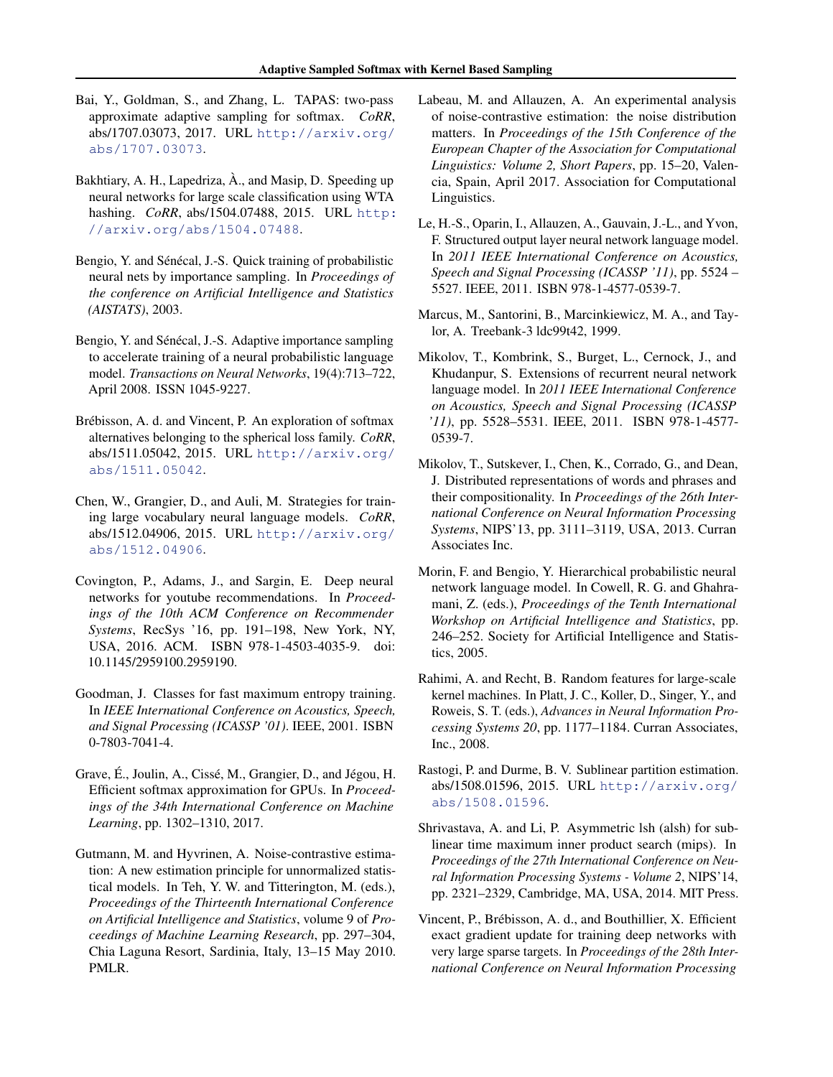- <span id="page-8-0"></span>Bai, Y., Goldman, S., and Zhang, L. TAPAS: two-pass approximate adaptive sampling for softmax. *CoRR*, abs/1707.03073, 2017. URL [http://arxiv.org/](http://arxiv.org/abs/1707.03073) [abs/1707.03073](http://arxiv.org/abs/1707.03073).
- Bakhtiary, A. H., Lapedriza,  $\hat{A}$ ., and Masip, D. Speeding up neural networks for large scale classification using WTA hashing. *CoRR*, abs/1504.07488, 2015. URL [http:](http://arxiv.org/abs/1504.07488) [//arxiv.org/abs/1504.07488](http://arxiv.org/abs/1504.07488).
- Bengio, Y. and Sénécal, J.-S. Quick training of probabilistic neural nets by importance sampling. In *Proceedings of the conference on Artificial Intelligence and Statistics (AISTATS)*, 2003.
- Bengio, Y. and Sénécal, J.-S. Adaptive importance sampling to accelerate training of a neural probabilistic language model. *Transactions on Neural Networks*, 19(4):713–722, April 2008. ISSN 1045-9227.
- Brébisson, A. d. and Vincent, P. An exploration of softmax alternatives belonging to the spherical loss family. *CoRR*, abs/1511.05042, 2015. URL [http://arxiv.org/](http://arxiv.org/abs/1511.05042) [abs/1511.05042](http://arxiv.org/abs/1511.05042).
- Chen, W., Grangier, D., and Auli, M. Strategies for training large vocabulary neural language models. *CoRR*, abs/1512.04906, 2015. URL [http://arxiv.org/](http://arxiv.org/abs/1512.04906) [abs/1512.04906](http://arxiv.org/abs/1512.04906).
- Covington, P., Adams, J., and Sargin, E. Deep neural networks for youtube recommendations. In *Proceedings of the 10th ACM Conference on Recommender Systems*, RecSys '16, pp. 191–198, New York, NY, USA, 2016. ACM. ISBN 978-1-4503-4035-9. doi: 10.1145/2959100.2959190.
- Goodman, J. Classes for fast maximum entropy training. In *IEEE International Conference on Acoustics, Speech, and Signal Processing (ICASSP '01)*. IEEE, 2001. ISBN 0-7803-7041-4.
- Grave, É., Joulin, A., Cissé, M., Grangier, D., and Jégou, H. Efficient softmax approximation for GPUs. In *Proceedings of the 34th International Conference on Machine Learning*, pp. 1302–1310, 2017.
- Gutmann, M. and Hyvrinen, A. Noise-contrastive estimation: A new estimation principle for unnormalized statistical models. In Teh, Y. W. and Titterington, M. (eds.), *Proceedings of the Thirteenth International Conference on Artificial Intelligence and Statistics*, volume 9 of *Proceedings of Machine Learning Research*, pp. 297–304, Chia Laguna Resort, Sardinia, Italy, 13–15 May 2010. PMLR.
- Labeau, M. and Allauzen, A. An experimental analysis of noise-contrastive estimation: the noise distribution matters. In *Proceedings of the 15th Conference of the European Chapter of the Association for Computational Linguistics: Volume 2, Short Papers*, pp. 15–20, Valencia, Spain, April 2017. Association for Computational Linguistics.
- Le, H.-S., Oparin, I., Allauzen, A., Gauvain, J.-L., and Yvon, F. Structured output layer neural network language model. In *2011 IEEE International Conference on Acoustics, Speech and Signal Processing (ICASSP '11)*, pp. 5524 – 5527. IEEE, 2011. ISBN 978-1-4577-0539-7.
- Marcus, M., Santorini, B., Marcinkiewicz, M. A., and Taylor, A. Treebank-3 ldc99t42, 1999.
- Mikolov, T., Kombrink, S., Burget, L., Cernock, J., and Khudanpur, S. Extensions of recurrent neural network language model. In *2011 IEEE International Conference on Acoustics, Speech and Signal Processing (ICASSP '11)*, pp. 5528–5531. IEEE, 2011. ISBN 978-1-4577- 0539-7.
- Mikolov, T., Sutskever, I., Chen, K., Corrado, G., and Dean, J. Distributed representations of words and phrases and their compositionality. In *Proceedings of the 26th International Conference on Neural Information Processing Systems*, NIPS'13, pp. 3111–3119, USA, 2013. Curran Associates Inc.
- Morin, F. and Bengio, Y. Hierarchical probabilistic neural network language model. In Cowell, R. G. and Ghahramani, Z. (eds.), *Proceedings of the Tenth International Workshop on Artificial Intelligence and Statistics*, pp. 246–252. Society for Artificial Intelligence and Statistics, 2005.
- Rahimi, A. and Recht, B. Random features for large-scale kernel machines. In Platt, J. C., Koller, D., Singer, Y., and Roweis, S. T. (eds.), *Advances in Neural Information Processing Systems 20*, pp. 1177–1184. Curran Associates, Inc., 2008.
- Rastogi, P. and Durme, B. V. Sublinear partition estimation. abs/1508.01596, 2015. URL [http://arxiv.org/](http://arxiv.org/abs/1508.01596) [abs/1508.01596](http://arxiv.org/abs/1508.01596).
- Shrivastava, A. and Li, P. Asymmetric lsh (alsh) for sublinear time maximum inner product search (mips). In *Proceedings of the 27th International Conference on Neural Information Processing Systems - Volume 2*, NIPS'14, pp. 2321–2329, Cambridge, MA, USA, 2014. MIT Press.
- Vincent, P., Brebisson, A. d., and Bouthillier, X. Efficient ´ exact gradient update for training deep networks with very large sparse targets. In *Proceedings of the 28th International Conference on Neural Information Processing*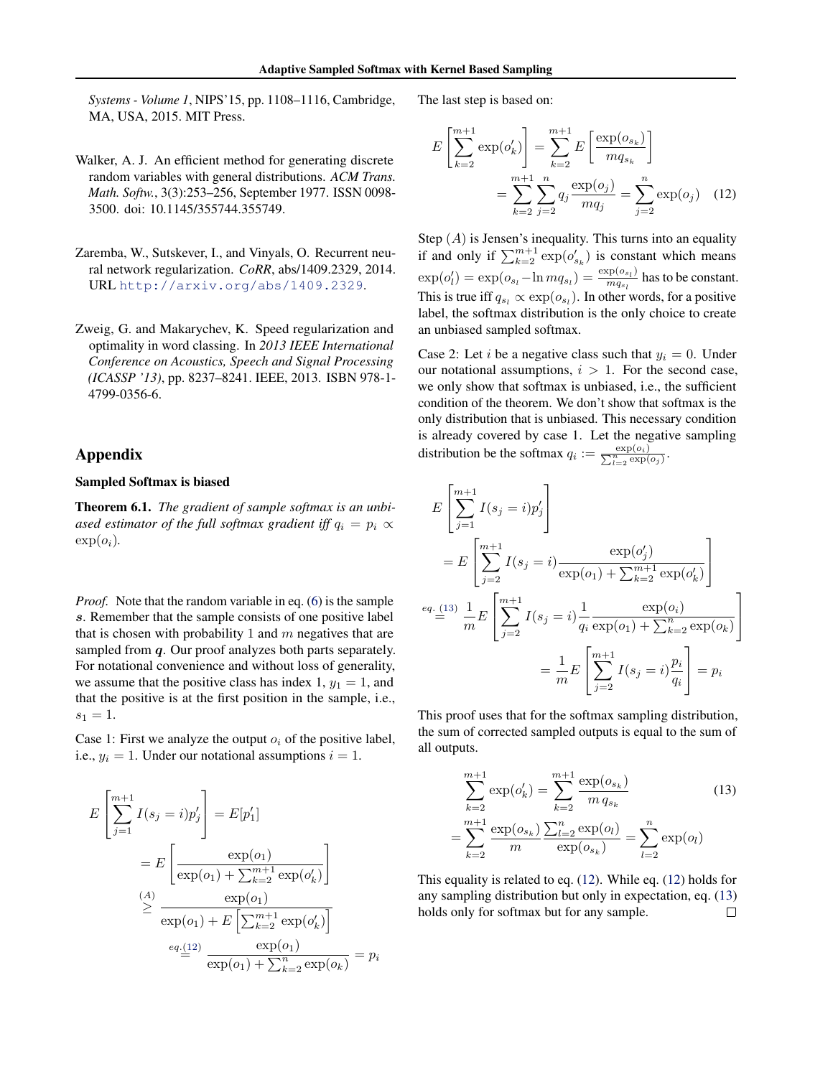<span id="page-9-0"></span>*Systems - Volume 1*, NIPS'15, pp. 1108–1116, Cambridge, MA, USA, 2015. MIT Press.

- Walker, A. J. An efficient method for generating discrete random variables with general distributions. *ACM Trans. Math. Softw.*, 3(3):253–256, September 1977. ISSN 0098- 3500. doi: 10.1145/355744.355749.
- Zaremba, W., Sutskever, I., and Vinyals, O. Recurrent neural network regularization. *CoRR*, abs/1409.2329, 2014. URL <http://arxiv.org/abs/1409.2329>.
- Zweig, G. and Makarychev, K. Speed regularization and optimality in word classing. In *2013 IEEE International Conference on Acoustics, Speech and Signal Processing (ICASSP '13)*, pp. 8237–8241. IEEE, 2013. ISBN 978-1- 4799-0356-6.

# Appendix

## Sampled Softmax is biased

Theorem 6.1. *The gradient of sample softmax is an unbiased estimator of the full softmax gradient iff*  $q_i = p_i \propto$  $\exp(o_i)$ .

*Proof.* Note that the random variable in eq. [\(6\)](#page-1-0) is the sample s. Remember that the sample consists of one positive label that is chosen with probability 1 and  $m$  negatives that are sampled from  $q$ . Our proof analyzes both parts separately. For notational convenience and without loss of generality, we assume that the positive class has index 1,  $y_1 = 1$ , and that the positive is at the first position in the sample, i.e.,  $s_1 = 1.$ 

Case 1: First we analyze the output  $o_i$  of the positive label, i.e.,  $y_i = 1$ . Under our notational assumptions  $i = 1$ .

$$
E\left[\sum_{j=1}^{m+1} I(s_j = i)p'_j\right] = E[p'_1]
$$
  
= 
$$
E\left[\frac{\exp(o_1)}{\exp(o_1) + \sum_{k=2}^{m+1} \exp(o'_k)}\right]
$$
  

$$
\geq \frac{(\mathbf{A})}{\exp(o_1) + E\left[\sum_{k=2}^{m+1} \exp(o'_k)\right]}
$$
  

$$
eq(\mathbf{A})
$$
  

$$
eq(\mathbf{A})
$$
  

$$
\exp(o_1) + \sum_{k=2}^{m+1} \exp(o_k) = p_i
$$

The last step is based on:

$$
E\left[\sum_{k=2}^{m+1} \exp(o'_k)\right] = \sum_{k=2}^{m+1} E\left[\frac{\exp(o_{s_k})}{mq_{s_k}}\right]
$$

$$
= \sum_{k=2}^{m+1} \sum_{j=2}^{n} q_j \frac{\exp(o_j)}{mq_j} = \sum_{j=2}^{n} \exp(o_j) \quad (12)
$$

Step  $(A)$  is Jensen's inequality. This turns into an equality if and only if  $\sum_{k=2}^{m+1} \exp(o'_{s_k})$  is constant which means  $\exp(o'_l) = \exp(o_{s_l} - \ln m q_{s_l}) = \frac{\exp(o_{s_l})}{m q_{s_l}}$  $\frac{\text{exp}(\sigma_{s_l})}{m q_{s_l}}$  has to be constant. This is true iff  $q_{s_l} \propto \exp(o_{s_l})$ . In other words, for a positive label, the softmax distribution is the only choice to create an unbiased sampled softmax.

Case 2: Let *i* be a negative class such that  $y_i = 0$ . Under our notational assumptions,  $i > 1$ . For the second case, we only show that softmax is unbiased, i.e., the sufficient condition of the theorem. We don't show that softmax is the only distribution that is unbiased. This necessary condition is already covered by case 1. Let the negative sampling distribution be the softmax  $q_i := \frac{\exp(o_i)}{\sum_{l=2}^n \exp(o_j)}$ .

$$
E\left[\sum_{j=1}^{m+1} I(s_j = i)p'_j\right]
$$
  
=  $E\left[\sum_{j=2}^{m+1} I(s_j = i) \frac{\exp(o'_j)}{\exp(o_1) + \sum_{k=2}^{m+1} \exp(o'_k)}\right]$   

$$
= \frac{eq \cdot (13)}{m} \frac{1}{m} E\left[\sum_{j=2}^{m+1} I(s_j = i) \frac{1}{q_i} \frac{\exp(o_i)}{\exp(o_1) + \sum_{k=2}^{n} \exp(o_k)}\right]
$$
  

$$
= \frac{1}{m} E\left[\sum_{j=2}^{m+1} I(s_j = i) \frac{p_i}{q_i}\right] = p_i
$$

This proof uses that for the softmax sampling distribution, the sum of corrected sampled outputs is equal to the sum of all outputs.

$$
\sum_{k=2}^{m+1} \exp(o'_k) = \sum_{k=2}^{m+1} \frac{\exp(o_{s_k})}{m \, q_{s_k}} \qquad (13)
$$

$$
= \sum_{k=2}^{m+1} \frac{\exp(o_{s_k})}{m} \frac{\sum_{l=2}^{n} \exp(o_l)}{\exp(o_{s_k})} = \sum_{l=2}^{n} \exp(o_l)
$$

This equality is related to eq. (12). While eq. (12) holds for any sampling distribution but only in expectation, eq. (13) holds only for softmax but for any sample. $\Box$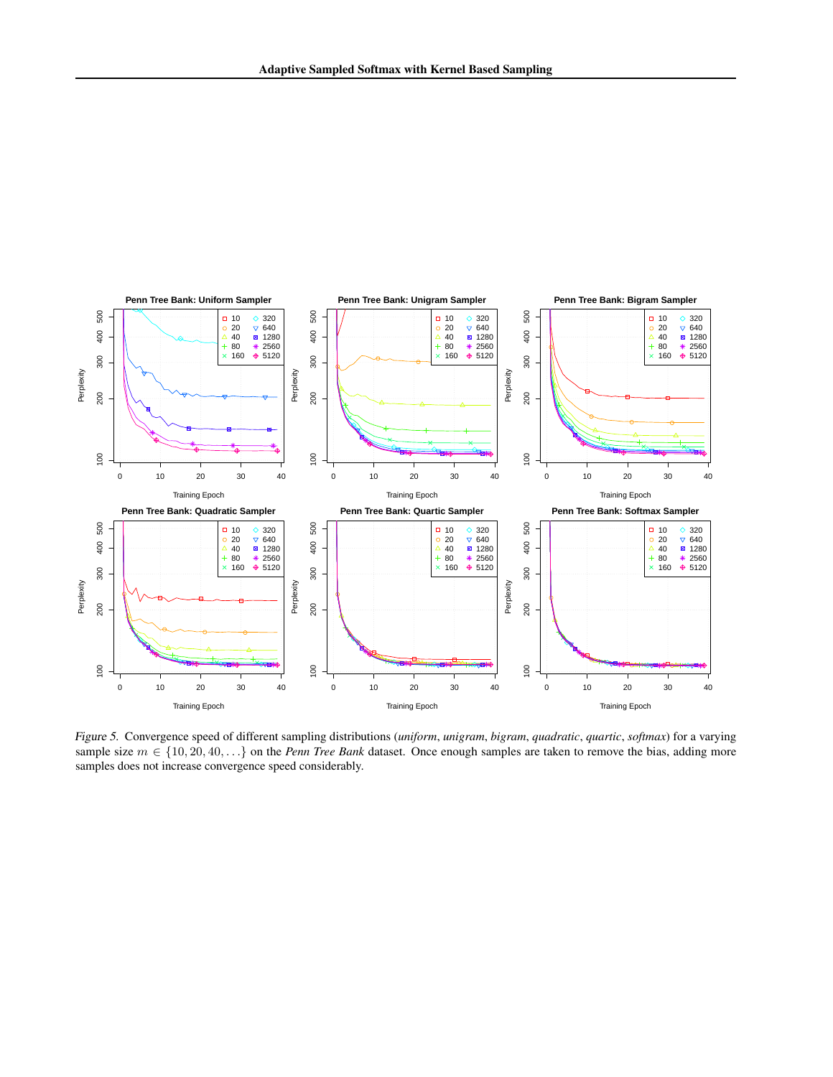<span id="page-10-0"></span>

Figure 5. Convergence speed of different sampling distributions (*uniform*, *unigram*, *bigram*, *quadratic*, *quartic*, *softmax*) for a varying sample size  $m \in \{10, 20, 40, \ldots\}$  on the *Penn Tree Bank* dataset. Once enough samples are taken to remove the bias, adding more samples does not increase convergence speed considerably.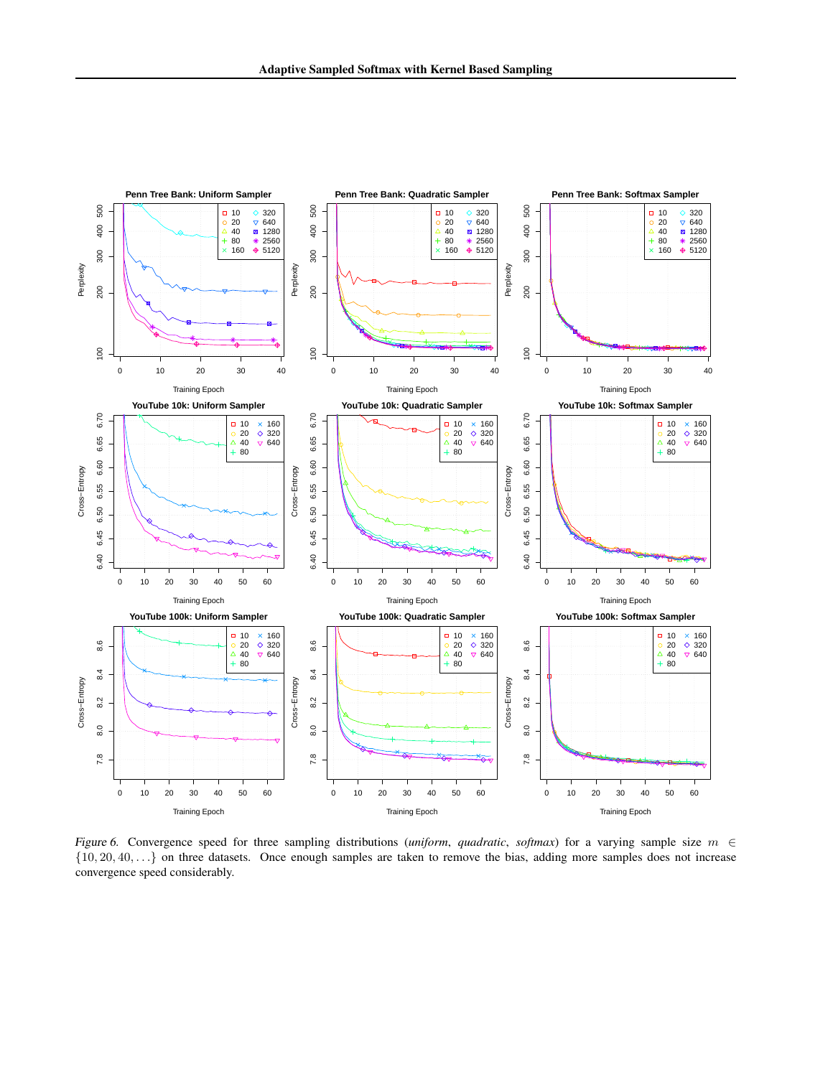<span id="page-11-0"></span>

Figure 6. Convergence speed for three sampling distributions (*uniform, quadratic, softmax*) for a varying sample size  $m \in$  $\{10, 20, 40, \ldots\}$  on three datasets. Once enough samples are taken to remove the bias, adding more samples does not increase convergence speed considerably.